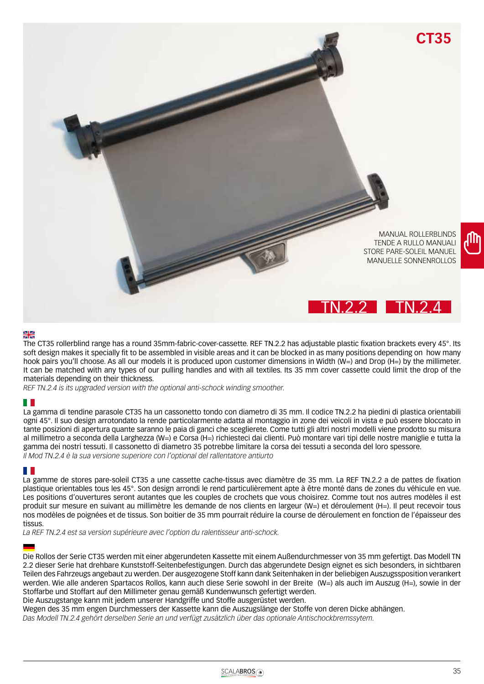

## ₩

The CT35 rollerblind range has a round 35mm-fabric-cover-cassette. REF TN.2.2 has adjustable plastic fixation brackets every 45°. Its soft design makes it specially fit to be assembled in visible areas and it can be blocked in as many positions depending on how many hook pairs you'll choose. As all our models it is produced upon customer dimensions in Width (W=) and Drop (H=) by the millimeter. It can be matched with any types of our pulling handles and with all textiles. Its 35 mm cover cassette could limit the drop of the materials depending on their thickness.

*REF TN.2.4 is its upgraded version with the optional anti-schock winding smoother.*

### H H

La gamma di tendine parasole CT35 ha un cassonetto tondo con diametro di 35 mm. Il codice TN.2.2 ha piedini di plastica orientabili ogni 45°. Il suo design arrotondato la rende particolarmente adatta al montaggio in zone dei veicoli in vista e può essere bloccato in tante posizioni di apertura quante saranno le paia di ganci che sceglierete. Come tutti gli altri nostri modelli viene prodotto su misura al millimetro a seconda della Larghezza (W=) e Corsa (H=) richiesteci dai clienti. Può montare vari tipi delle nostre maniglie e tutta la gamma dei nostri tessuti. Il cassonetto di diametro 35 potrebbe limitare la corsa dei tessuti a seconda del loro spessore. *Il Mod TN.2.4 è la sua versione superiore con l'optional del rallentatore antiurto*

### H.

La gamme de stores pare-soleil CT35 a une cassette cache-tissus avec diamètre de 35 mm. La REF TN.2.2 a de pattes de fixation plastique orientables tous les 45°. Son design arrondi le rend particulièrement apte à être monté dans de zones du véhicule en vue. Les positions d'ouvertures seront autantes que les couples de crochets que vous choisirez. Comme tout nos autres modèles il est produit sur mesure en suivant au millimètre les demande de nos clients en largeur (W=) et déroulement (H=). Il peut recevoir tous nos modèles de poignées et de tissus. Son boitier de 35 mm pourrait réduire la course de déroulement en fonction de l'épaisseur des tissus.

*La REF TN.2.4 est sa version supérieure avec l'option du ralentisseur anti-schock.*

Die Rollos der Serie CT35 werden mit einer abgerundeten Kassette mit einem Außendurchmesser von 35 mm gefertigt. Das Modell TN 2.2 dieser Serie hat drehbare Kunststoff-Seitenbefestigungen. Durch das abgerundete Design eignet es sich besonders, in sichtbaren Teilen des Fahrzeugs angebaut zu werden. Der ausgezogene Stoff kann dank Seitenhaken in der beliebigen Auszugssposition verankert werden. Wie alle anderen Spartacos Rollos, kann auch diese Serie sowohl in der Breite (W=) als auch im Auszug (H=), sowie in der Stoffarbe und Stoffart auf den Millimeter genau gemäß Kundenwunsch gefertigt werden.

Die Auszugstange kann mit jedem unserer Handgriffe und Stoffe ausgerüstet werden.

Wegen des 35 mm engen Durchmessers der Kassette kann die Auszugslänge der Stoffe von deren Dicke abhängen.

*Das Modell TN.2.4 gehört derselben Serie an und verfügt zusätzlich über das optionale Antischockbremssytem.*